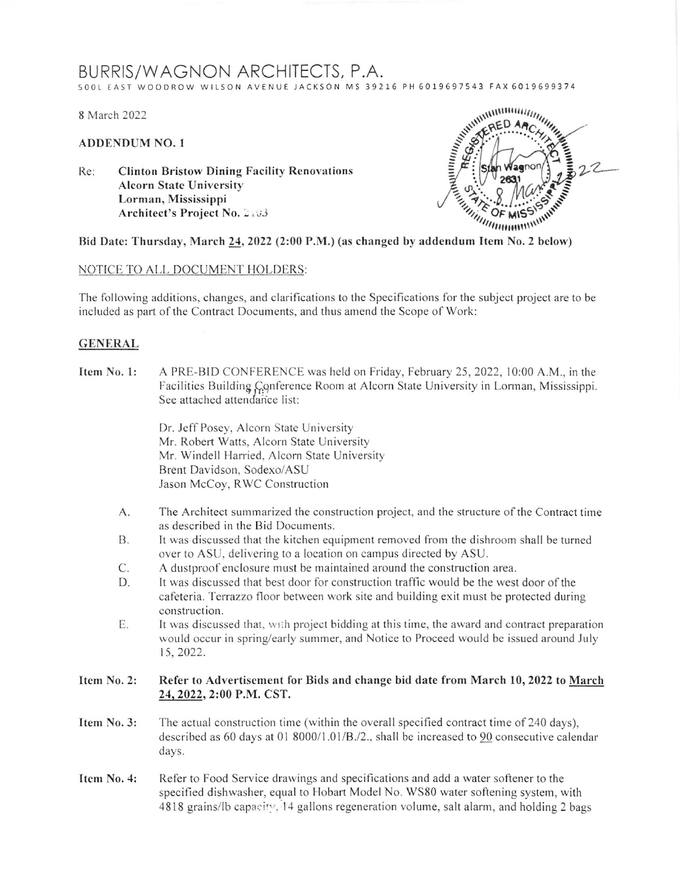# BURRIS/WAGNON ARCHITECTS, P.A.

500L EAST WOODROW WILSON AVENUE JACKSON MS 39216 PH 6019697543 FAX 6019699374

8 March 2022

## **ADDENDUM NO. 1**

**Clinton Bristow Dining Facility Renovations** Re: **Alcorn State University** Lorman, Mississippi Architect's Project No. 2:03



Bid Date: Thursday, March 24, 2022 (2:00 P.M.) (as changed by addendum Item No. 2 below)

### NOTICE TO ALL DOCUMENT HOLDERS:

The following additions, changes, and clarifications to the Specifications for the subject project are to be included as part of the Contract Documents, and thus amend the Scope of Work:

### **GENERAL**

A PRE-BID CONFERENCE was held on Friday, February 25, 2022, 10:00 A.M., in the Item No. 1: Facilities Building Conference Room at Alcorn State University in Lorman, Mississippi. See attached attendance list:

> Dr. Jeff Posey, Alcorn State University Mr. Robert Watts, Alcorn State University Mr. Windell Harried, Alcorn State University Brent Davidson, Sodexo/ASU Jason McCoy, RWC Construction

- $A$ . The Architect summarized the construction project, and the structure of the Contract time as described in the Bid Documents.
- It was discussed that the kitchen equipment removed from the dishroom shall be turned **B.** over to ASU, delivering to a location on campus directed by ASU.
- C. A dustproof enclosure must be maintained around the construction area.
- It was discussed that best door for construction traffic would be the west door of the D. cafeteria. Terrazzo floor between work site and building exit must be protected during construction.
- $E_{\cdot}$ It was discussed that, with project bidding at this time, the award and contract preparation would occur in spring/early summer, and Notice to Proceed would be issued around July 15, 2022.

#### Item No. 2: Refer to Advertisement for Bids and change bid date from March 10, 2022 to March 24, 2022, 2:00 P.M. CST.

- The actual construction time (within the overall specified contract time of 240 days), Item No. 3: described as 60 days at 01 8000/1.01/B./2., shall be increased to 90 consecutive calendar days.
- Item No. 4: Refer to Food Service drawings and specifications and add a water softener to the specified dishwasher, equal to Hobart Model No. WS80 water softening system, with 4818 grains/lb capacity, 14 gallons regeneration volume, salt alarm, and holding 2 bags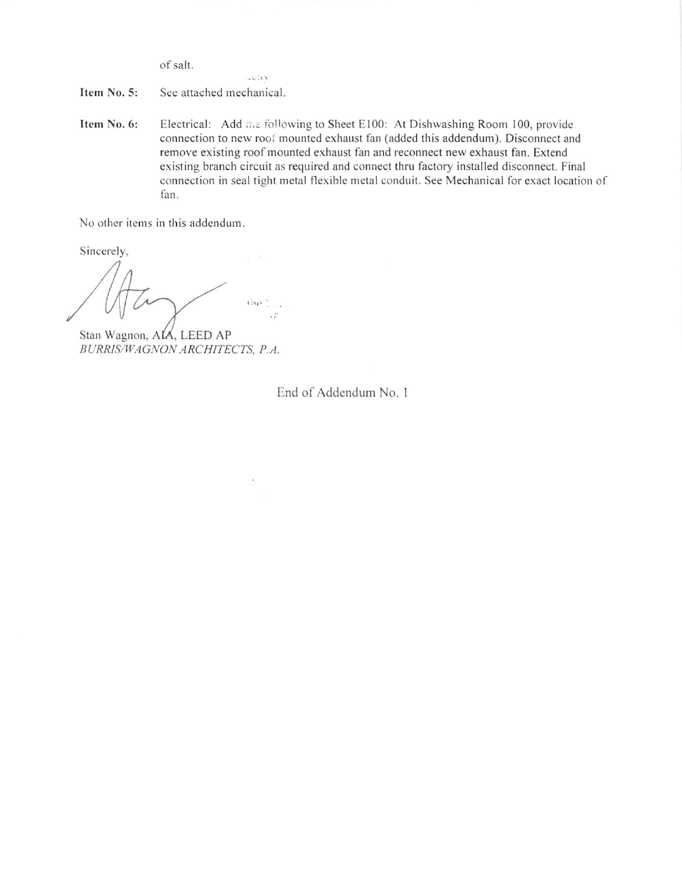of salt.

Item No. 5: See attached mechanical.

 $11.7.$ 

Itcm No. 6: Electrical: Add the following to Sheet E100: At Dishwashing Room 100, provide connection to new rooi mounted exhaust fan (added this addendum). Disconnect and remove existing roof mounted exhaust fan and reconnect new exhaust fan. Extend existing branch circuit as required and connect thru factory installed disconnect. Final connection in seal tight metal flexible metal conduit. See Mechanical for exact location of fan.

No other items in this addendum.

Sincerely.

the Luc

Stan Wagnon, ALA, LEED AP BURRIS/WAGNON ARCHITECTS, P.A.

End of Addendum No. 1